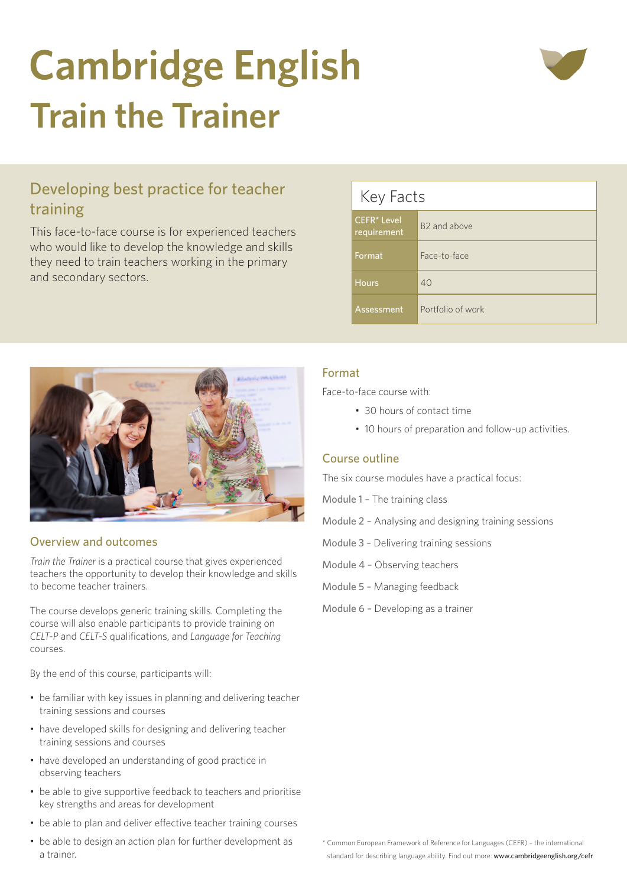# **Cambridge English Train the Trainer**



This face-to-face course is for experienced teachers who would like to develop the knowledge and skills they need to train teachers working in the primary and secondary sectors.





# Overview and outcomes

training

*Train the Trainer* is a practical course that gives experienced teachers the opportunity to develop their knowledge and skills to become teacher trainers.

The course develops generic training skills. Completing the course will also enable participants to provide training on *CELT-P* and *CELT-S* qualifications, and *Language for Teaching* courses.

By the end of this course, participants will:

- be familiar with key issues in planning and delivering teacher training sessions and courses
- have developed skills for designing and delivering teacher training sessions and courses
- have developed an understanding of good practice in observing teachers
- be able to give supportive feedback to teachers and prioritise key strengths and areas for development
- be able to plan and deliver effective teacher training courses
- be able to design an action plan for further development as a trainer.

# Format

Face-to-face course with:

- 30 hours of contact time
- 10 hours of preparation and follow-up activities.

# Course outline

The six course modules have a practical focus:

Module 1 – The training class

Module 2 – Analysing and designing training sessions

- Module 3 Delivering training sessions
- Module 4 Observing teachers
- Module 5 Managing feedback
- Module 6 Developing as a trainer